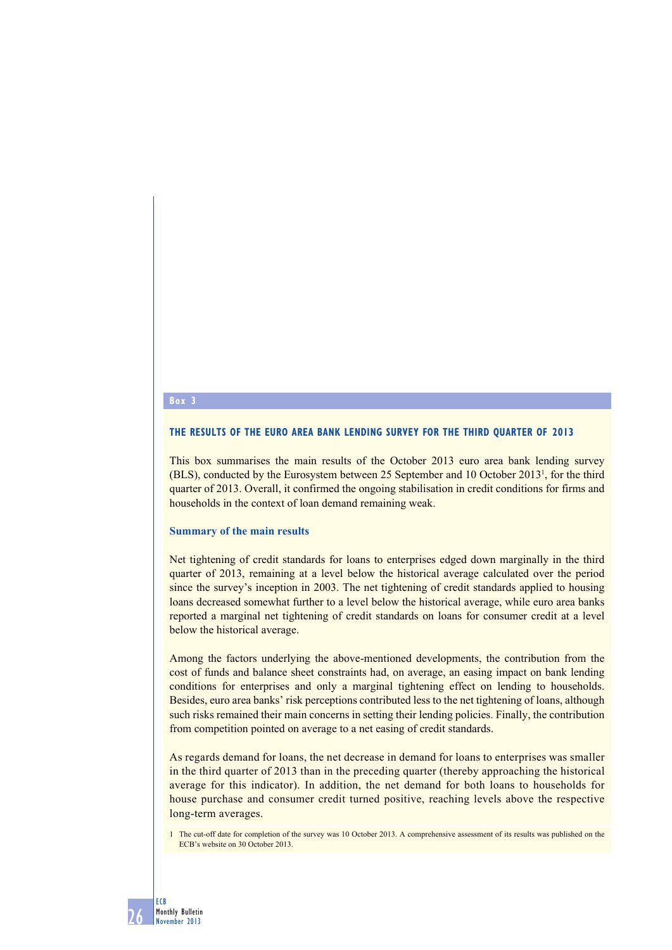#### **Box 3**

#### **The results of the euro area bank lending survey for the third quarter of 2013**

This box summarises the main results of the October 2013 euro area bank lending survey  $(BLS)$ , conducted by the Eurosystem between 25 September and 10 October 2013<sup>1</sup>, for the third quarter of 2013. Overall, it confirmed the ongoing stabilisation in credit conditions for firms and households in the context of loan demand remaining weak.

#### **Summary of the main results**

Net tightening of credit standards for loans to enterprises edged down marginally in the third quarter of 2013, remaining at a level below the historical average calculated over the period since the survey's inception in 2003. The net tightening of credit standards applied to housing loans decreased somewhat further to a level below the historical average, while euro area banks reported a marginal net tightening of credit standards on loans for consumer credit at a level below the historical average.

Among the factors underlying the above-mentioned developments, the contribution from the cost of funds and balance sheet constraints had, on average, an easing impact on bank lending conditions for enterprises and only a marginal tightening effect on lending to households. Besides, euro area banks' risk perceptions contributed less to the net tightening of loans, although such risks remained their main concerns in setting their lending policies. Finally, the contribution from competition pointed on average to a net easing of credit standards.

As regards demand for loans, the net decrease in demand for loans to enterprises was smaller in the third quarter of 2013 than in the preceding quarter (thereby approaching the historical average for this indicator). In addition, the net demand for both loans to households for house purchase and consumer credit turned positive, reaching levels above the respective long-term averages.

1 The cut-off date for completion of the survey was 10 October 2013. A comprehensive assessment of its results was published on the ECB's website on 30 October 2013.

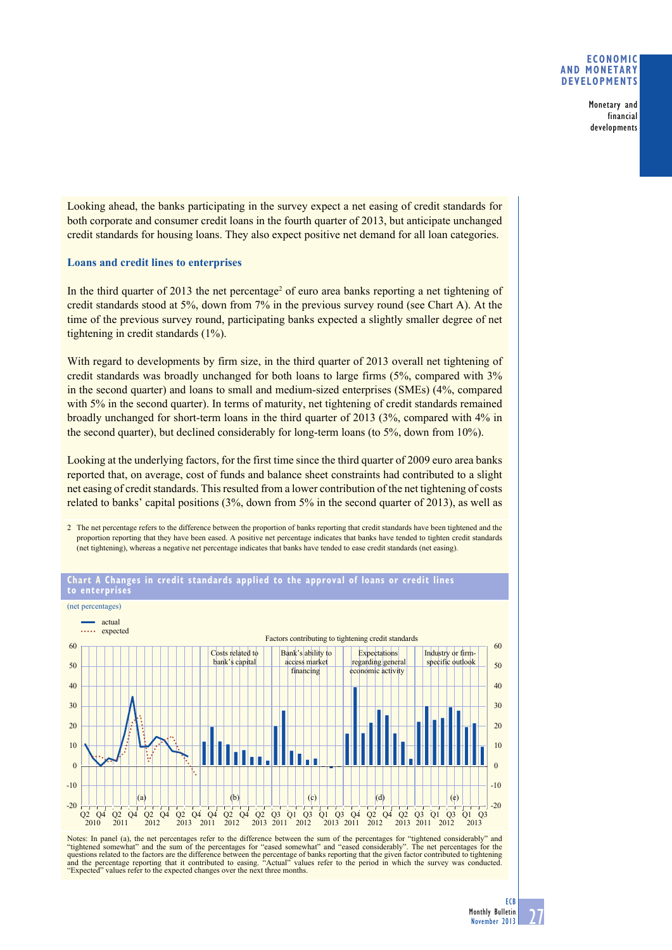#### **eConomiC and monetary develoPments**

Monetary and financial developments

Looking ahead, the banks participating in the survey expect a net easing of credit standards for both corporate and consumer credit loans in the fourth quarter of 2013, but anticipate unchanged credit standards for housing loans. They also expect positive net demand for all loan categories.

#### **Loans and credit lines to enterprises**

In the third quarter of  $2013$  the net percentage<sup>2</sup> of euro area banks reporting a net tightening of credit standards stood at 5%, down from 7% in the previous survey round (see Chart A). At the time of the previous survey round, participating banks expected a slightly smaller degree of net tightening in credit standards  $(1\%)$ .

With regard to developments by firm size, in the third quarter of 2013 overall net tightening of credit standards was broadly unchanged for both loans to large firms (5%, compared with 3% in the second quarter) and loans to small and medium-sized enterprises  $(SMEs)$  (4%, compared with 5% in the second quarter). In terms of maturity, net tightening of credit standards remained broadly unchanged for short-term loans in the third quarter of 2013 (3%, compared with  $4\%$  in the second quarter), but declined considerably for long-term loans (to  $5\%$ , down from  $10\%$ ).

Looking at the underlying factors, for the first time since the third quarter of 2009 euro area banks reported that, on average, cost of funds and balance sheet constraints had contributed to a slight net easing of credit standards. This resulted from a lower contribution of the net tightening of costs related to banks' capital positions  $(3\%, \text{ down from } 5\% \text{ in the second quarter of } 2013)$ , as well as

2 The net percentage refers to the difference between the proportion of banks reporting that credit standards have been tightened and the proportion reporting that they have been eased. A positive net percentage indicates that banks have tended to tighten credit standards (net tightening), whereas a negative net percentage indicates that banks have tended to ease credit standards (net easing).



# **Chart a Changes in credit standards applied to the approval of loans or credit lines**

Notes: In panel (a), the net percentages refer to the difference between the sum of the percentages for "tightened considerably" and<br>"tightened somewhat" and the sum of the percentages for "eased somewhat" and "eased consi "Actual" values refer to the period in which the survey was conducted. and the percentage reporting that it contributed to easing. "Actual" values "Expected" values refer to the expected changes over the next three months.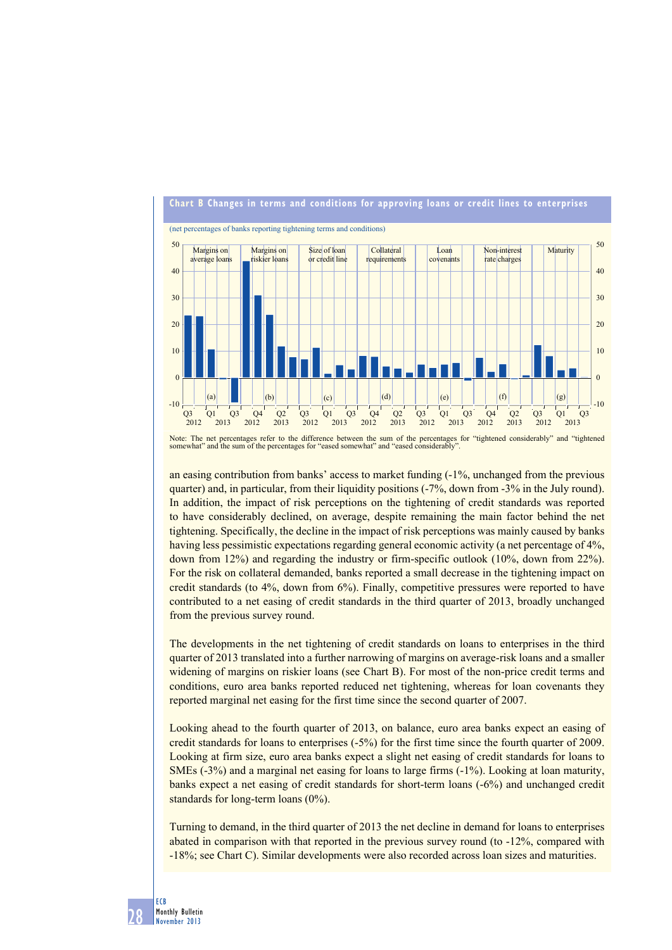

Note: The net percentages refer to the difference between the sum of the percentages for "tightened considerably" and "tightened somewhat" and the sum of the percentages for "eased somewhat" and "eased considerably".

an easing contribution from banks' access to market funding  $(-1)$ %, unchanged from the previous quarter) and, in particular, from their liquidity positions  $(-7\%)$ , down from  $-3\%$  in the July round). In addition, the impact of risk perceptions on the tightening of credit standards was reported to have considerably declined, on average, despite remaining the main factor behind the net tightening. Specifically, the decline in the impact of risk perceptions was mainly caused by banks having less pessimistic expectations regarding general economic activity (a net percentage of 4%, down from 12%) and regarding the industry or firm-specific outlook  $(10\%$ , down from 22%). For the risk on collateral demanded, banks reported a small decrease in the tightening impact on credit standards (to  $4\%$ , down from  $6\%$ ). Finally, competitive pressures were reported to have contributed to a net easing of credit standards in the third quarter of 2013, broadly unchanged from the previous survey round.

The developments in the net tightening of credit standards on loans to enterprises in the third quarter of 2013 translated into a further narrowing of margins on average-risk loans and a smaller widening of margins on riskier loans (see Chart B). For most of the non-price credit terms and conditions, euro area banks reported reduced net tightening, whereas for loan covenants they reported marginal net easing for the first time since the second quarter of 2007.

Looking ahead to the fourth quarter of 2013, on balance, euro area banks expect an easing of credit standards for loans to enterprises (-5%) for the first time since the fourth quarter of 2009. Looking at firm size, euro area banks expect a slight net easing of credit standards for loans to SMEs  $(-3%)$  and a marginal net easing for loans to large firms  $(-1%)$ . Looking at loan maturity, banks expect a net easing of credit standards for short-term loans  $(-6%)$  and unchanged credit standards for long-term loans  $(0\%)$ .

Turning to demand, in the third quarter of 2013 the net decline in demand for loans to enterprises abated in comparison with that reported in the previous survey round (to  $-12\%$ , compared with -18%; see Chart C). Similar developments were also recorded across loan sizes and maturities.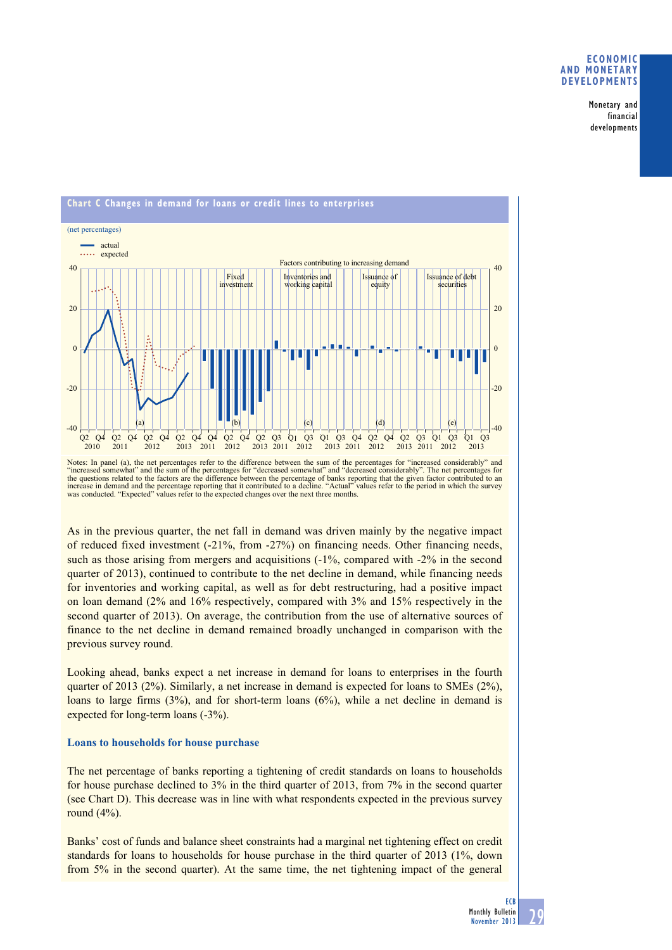#### **eConomiC and monetary develoPments**

Monetary and financial developments



Notes: In panel (a), the net percentages refer to the difference between the sum of the percentages for "increased considerably" and "increased somewhat" and the sum of the percentages for "decreased somewhat" and "decreased considerably". The net percentages for<br>the questions related to the factors are the difference between the percentage of banks rep increase in demand and the percentage reporting that it contributed to a decline. "Actual" values refer to the period in which the survey<br>was conducted. "Expected" values refer to the expected changes over the next three m

As in the previous quarter, the net fall in demand was driven mainly by the negative impact of reduced fixed investment  $(-21\%$ , from  $-27\%$  on financing needs. Other financing needs, such as those arising from mergers and acquisitions  $(-1\%$ , compared with  $-2\%$  in the second quarter of 2013), continued to contribute to the net decline in demand, while financing needs for inventories and working capital, as well as for debt restructuring, had a positive impact on loan demand  $(2\%$  and  $16\%$  respectively, compared with  $3\%$  and  $15\%$  respectively in the second quarter of 2013). On average, the contribution from the use of alternative sources of finance to the net decline in demand remained broadly unchanged in comparison with the previous survey round.

Looking ahead, banks expect a net increase in demand for loans to enterprises in the fourth quarter of 2013 (2%). Similarly, a net increase in demand is expected for loans to SMEs (2%), loans to large firms  $(3%)$ , and for short-term loans  $(6%)$ , while a net decline in demand is expected for long-term loans  $(-3%)$ .

#### **Loans to households for house purchase**

The net percentage of banks reporting a tightening of credit standards on loans to households for house purchase declined to  $3\%$  in the third quarter of 2013, from 7% in the second quarter (see Chart D). This decrease was in line with what respondents expected in the previous survey round  $(4%).$ 

Banks' cost of funds and balance sheet constraints had a marginal net tightening effect on credit standards for loans to households for house purchase in the third quarter of 2013 (1%, down from 5% in the second quarter). At the same time, the net tightening impact of the general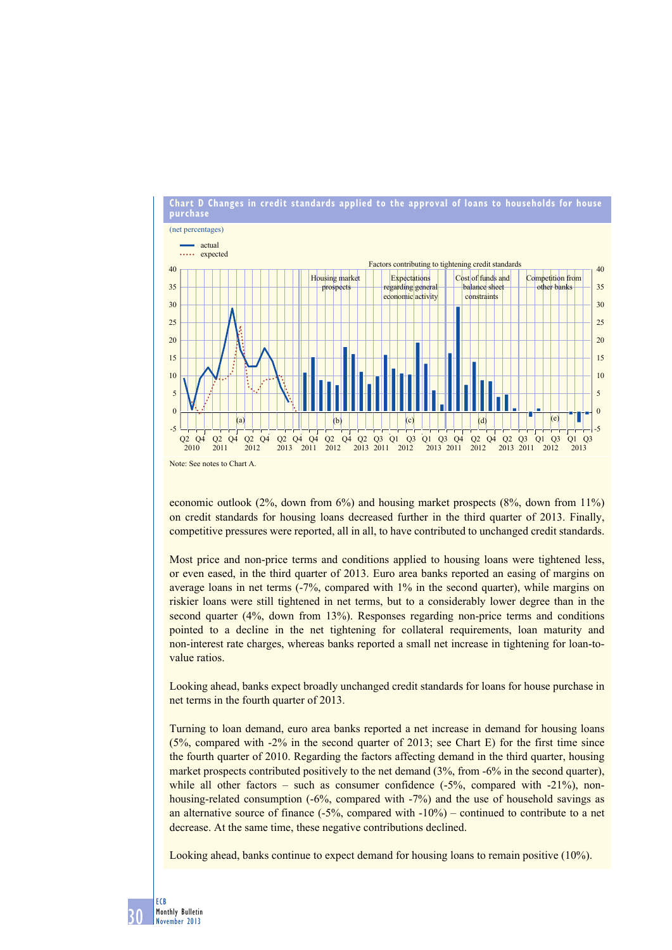

economic outlook  $(2\%$ , down from  $6\%)$  and housing market prospects  $(8\%$ , down from  $11\%)$ on credit standards for housing loans decreased further in the third quarter of 2013. Finally, competitive pressures were reported, all in all, to have contributed to unchanged credit standards.

Most price and non-price terms and conditions applied to housing loans were tightened less, or even eased, in the third quarter of 2013. Euro area banks reported an easing of margins on average loans in net terms  $(-7\%$ , compared with  $1\%$  in the second quarter), while margins on riskier loans were still tightened in net terms, but to a considerably lower degree than in the second quarter  $(4\%$ , down from  $13\%)$ . Responses regarding non-price terms and conditions pointed to a decline in the net tightening for collateral requirements, loan maturity and non-interest rate charges, whereas banks reported a small net increase in tightening for loan-tovalue ratios.

Looking ahead, banks expect broadly unchanged credit standards for loans for house purchase in net terms in the fourth quarter of 2013.

Turning to loan demand, euro area banks reported a net increase in demand for housing loans  $(5\%$ , compared with -2% in the second quarter of 2013; see Chart E) for the first time since the fourth quarter of 2010. Regarding the factors affecting demand in the third quarter, housing market prospects contributed positively to the net demand  $(3\%$ , from -6% in the second quarter), while all other factors – such as consumer confidence  $(-5\%$ , compared with  $-21\%$ , nonhousing-related consumption  $(-6\%$ , compared with  $-7\%$  and the use of household savings as an alternative source of finance  $(-5\%$ , compared with  $-10\%$  – continued to contribute to a net decrease. At the same time, these negative contributions declined.

Looking ahead, banks continue to expect demand for housing loans to remain positive (10%).

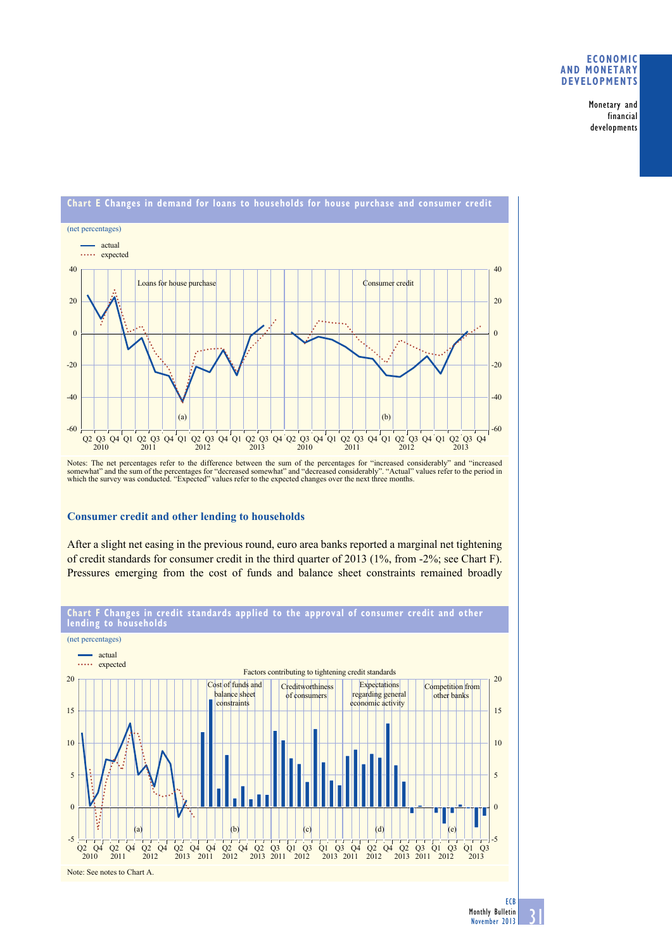#### **eConomiC and monetary develoPments**

Monetary and financial developments



## **Consumer credit and other lending to households**

After a slight net easing in the previous round, euro area banks reported a marginal net tightening of credit standards for consumer credit in the third quarter of 2013 (1%, from -2%; see Chart F). Pressures emerging from the cost of funds and balance sheet constraints remained broadly

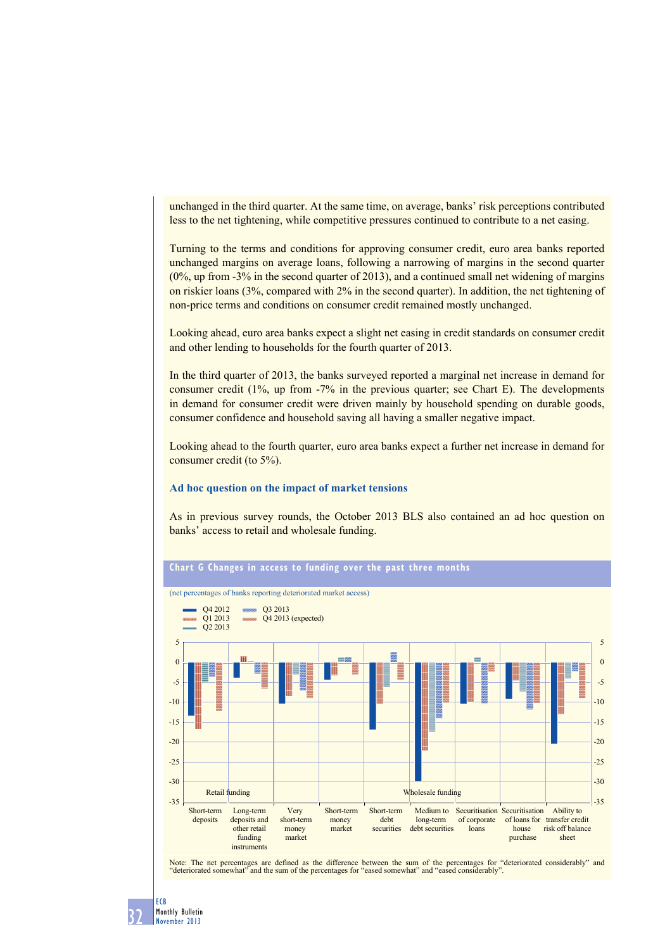unchanged in the third quarter. At the same time, on average, banks' risk perceptions contributed less to the net tightening, while competitive pressures continued to contribute to a net easing.

Turning to the terms and conditions for approving consumer credit, euro area banks reported unchanged margins on average loans, following a narrowing of margins in the second quarter ( $0\%$ , up from -3% in the second quarter of 2013), and a continued small net widening of margins on riskier loans  $(3\%$ , compared with  $2\%$  in the second quarter). In addition, the net tightening of non-price terms and conditions on consumer credit remained mostly unchanged.

Looking ahead, euro area banks expect a slight net easing in credit standards on consumer credit and other lending to households for the fourth quarter of 2013.

In the third quarter of 2013, the banks surveyed reported a marginal net increase in demand for consumer credit  $(1\%$ , up from  $-7\%$  in the previous quarter; see Chart E). The developments in demand for consumer credit were driven mainly by household spending on durable goods, consumer confidence and household saving all having a smaller negative impact.

Looking ahead to the fourth quarter, euro area banks expect a further net increase in demand for consumer credit (to  $5\%$ ).

#### **Ad hoc question on the impact of market tensions**

As in previous survey rounds, the October 2013 BLS also contained an ad hoc question on banks' access to retail and wholesale funding.



Note: The net percentages are defined as the difference between the sum of the percentages for "deteriorated considerably" and "deteriorated somewhat" and the sum of the percentages for "eased somewhat" and "eased consider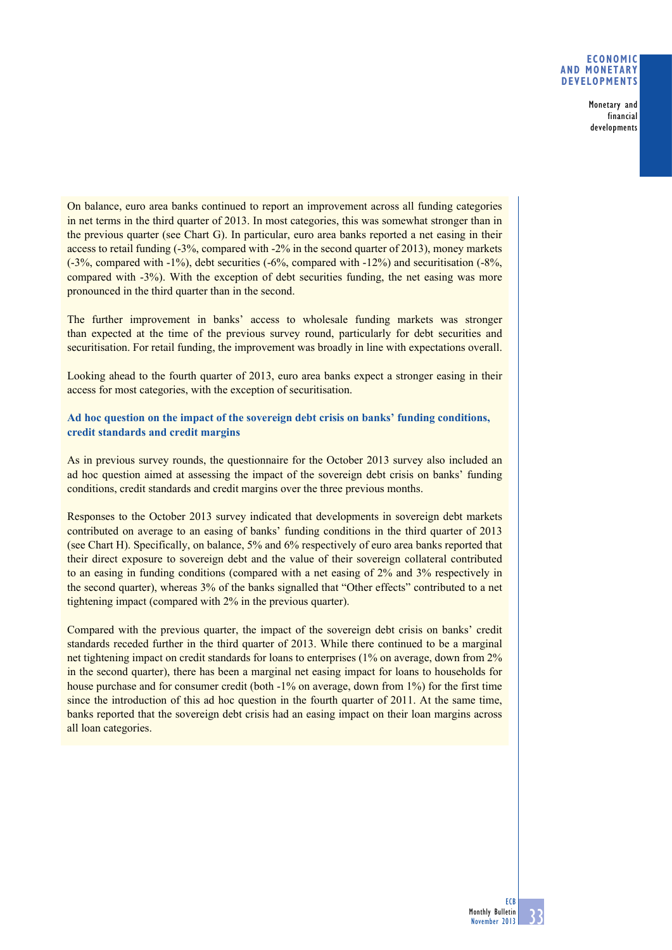#### **Economic and monetary developments**

Monetary and financial developments

On balance, euro area banks continued to report an improvement across all funding categories in net terms in the third quarter of 2013. In most categories, this was somewhat stronger than in the previous quarter (see Chart G). In particular, euro area banks reported a net easing in their access to retail funding (-3%, compared with -2% in the second quarter of 2013), money markets (-3%, compared with -1%), debt securities (-6%, compared with -12%) and securitisation (-8%, compared with -3%). With the exception of debt securities funding, the net easing was more pronounced in the third quarter than in the second.

The further improvement in banks' access to wholesale funding markets was stronger than expected at the time of the previous survey round, particularly for debt securities and securitisation. For retail funding, the improvement was broadly in line with expectations overall.

Looking ahead to the fourth quarter of 2013, euro area banks expect a stronger easing in their access for most categories, with the exception of securitisation.

### **Ad hoc question on the impact of the sovereign debt crisis on banks' funding conditions, credit standards and credit margins**

As in previous survey rounds, the questionnaire for the October 2013 survey also included an ad hoc question aimed at assessing the impact of the sovereign debt crisis on banks' funding conditions, credit standards and credit margins over the three previous months.

Responses to the October 2013 survey indicated that developments in sovereign debt markets contributed on average to an easing of banks' funding conditions in the third quarter of 2013 (see Chart H). Specifically, on balance, 5% and 6% respectively of euro area banks reported that their direct exposure to sovereign debt and the value of their sovereign collateral contributed to an easing in funding conditions (compared with a net easing of 2% and 3% respectively in the second quarter), whereas 3% of the banks signalled that "Other effects" contributed to a net tightening impact (compared with 2% in the previous quarter).

Compared with the previous quarter, the impact of the sovereign debt crisis on banks' credit standards receded further in the third quarter of 2013. While there continued to be a marginal net tightening impact on credit standards for loans to enterprises (1% on average, down from 2% in the second quarter), there has been a marginal net easing impact for loans to households for house purchase and for consumer credit (both -1% on average, down from 1%) for the first time since the introduction of this ad hoc question in the fourth quarter of 2011. At the same time, banks reported that the sovereign debt crisis had an easing impact on their loan margins across all loan categories.